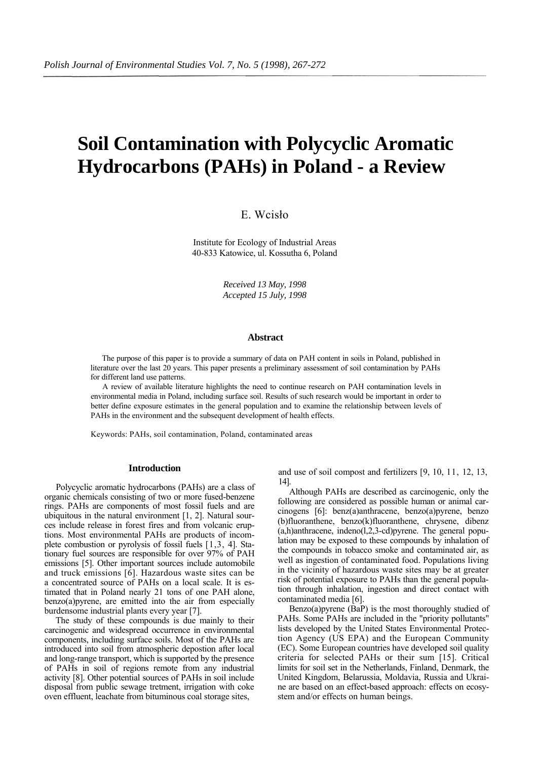# **Soil Contamination with Polycyclic Aromatic Hydrocarbons (PAHs) in Poland - a Review**

## E. Wcisło

Institute for Ecology of Industrial Areas 40-833 Katowice, ul. Kossutha 6, Poland

> *Received 13 May, 1998 Accepted 15 July, 1998*

#### **Abstract**

The purpose of this paper is to provide a summary of data on PAH content in soils in Poland, published in literature over the last 20 years. This paper presents a preliminary assessment of soil contamination by PAHs for different land use patterns.

A review of available literature highlights the need to continue research on PAH contamination levels in environmental media in Poland, including surface soil. Results of such research would be important in order to better define exposure estimates in the general population and to examine the relationship between levels of PAHs in the environment and the subsequent development of health effects.

Keywords: PAHs, soil contamination, Poland, contaminated areas

#### **Introduction**

Polycyclic aromatic hydrocarbons (PAHs) are a class of organic chemicals consisting of two or more fused-benzene rings. PAHs are components of most fossil fuels and are ubiquitous in the natural environment [1, 2]. Natural sources include release in forest fires and from volcanic eruptions. Most environmental PAHs are products of incomplete combustion or pyrolysis of fossil fuels [1,3, 4]. Stationary fuel sources are responsible for over 97% of PAH emissions [5]. Other important sources include automobile and truck emissions [6]. Hazardous waste sites can be a concentrated source of PAHs on a local scale. It is estimated that in Poland nearly 21 tons of one PAH alone, benzo(a)pyrene, are emitted into the air from especially burdensome industrial plants every year [7].

The study of these compounds is due mainly to their carcinogenic and widespread occurrence in environmental components, including surface soils. Most of the PAHs are introduced into soil from atmospheric depostion after local and long-range transport, which is supported by the presence of PAHs in soil of regions remote from any industrial activity [8]. Other potential sources of PAHs in soil include disposal from public sewage tretment, irrigation with coke oven effluent, leachate from bituminous coal storage sites,

and use of soil compost and fertilizers [9, 10, 11, 12, 13, 14].

Although PAHs are described as carcinogenic, only the following are considered as possible human or animal carcinogens [6]: benz(a)anthracene, benzo(a)pyrene, benzo (b)fluoranthene, benzo(k)fluoranthene, chrysene, dibenz (a,h)anthracene, indeno(l,2,3-cd)pyrene. The general population may be exposed to these compounds by inhalation of the compounds in tobacco smoke and contaminated air, as well as ingestion of contaminated food. Populations living in the vicinity of hazardous waste sites may be at greater risk of potential exposure to PAHs than the general population through inhalation, ingestion and direct contact with contaminated media [6].

Benzo(a)pyrene (BaP) is the most thoroughly studied of PAHs. Some PAHs are included in the "priority pollutants" lists developed by the United States Environmental Protection Agency (US EPA) and the European Community (EC). Some European countries have developed soil quality criteria for selected PAHs or their sum [15]. Critical limits for soil set in the Netherlands, Finland, Denmark, the United Kingdom, Belarussia, Moldavia, Russia and Ukraine are based on an effect-based approach: effects on ecosystem and/or effects on human beings.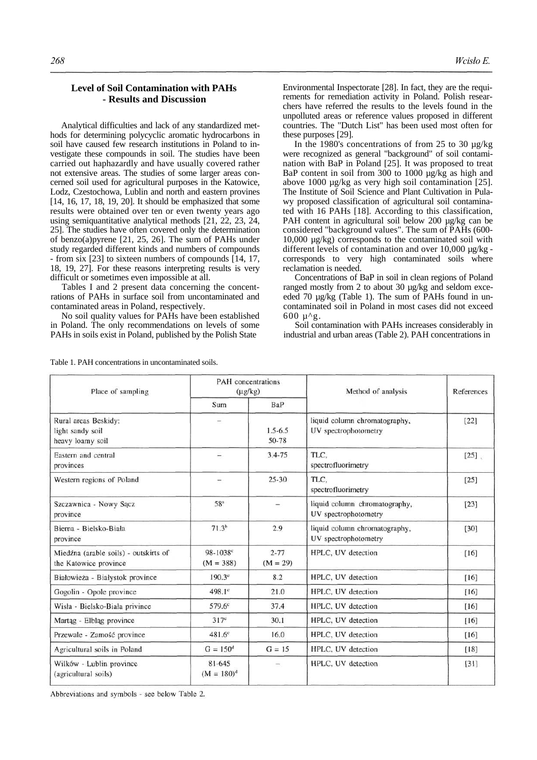### **Level of Soil Contamination with PAHs - Results and Discussion**

Analytical difficulties and lack of any standardized methods for determining polycyclic aromatic hydrocarbons in soil have caused few research institutions in Poland to investigate these compounds in soil. The studies have been carried out haphazardly and have usually covered rather not extensive areas. The studies of some larger areas concerned soil used for agricultural purposes in the Katowice, Lodz, Czestochowa, Lublin and north and eastern provines [14, 16, 17, 18, 19, 20]. It should be emphasized that some results were obtained over ten or even twenty years ago using semiquantitative analytical methods [21, 22, 23, 24, 25]. The studies have often covered only the determination of benzo(a)pyrene [21, 25, 26]. The sum of PAHs under study regarded different kinds and numbers of compounds - from six [23] to sixteen numbers of compounds [14, 17, 18, 19, 27]. For these reasons interpreting results is very difficult or sometimes even impossible at all.

Tables I and 2 present data concerning the concentrations of PAHs in surface soil from uncontaminated and contaminated areas in Poland, respectively.

No soil quality values for PAHs have been established in Poland. The only recommendations on levels of some PAHs in soils exist in Poland, published by the Polish State

Table 1. PAH concentrations in uncontaminated soils.

Environmental Inspectorate [28]. In fact, they are the requirements for remediation activity in Poland. Polish researchers have referred the results to the levels found in the unpolluted areas or reference values proposed in different countries. The "Dutch List" has been used most often for these purposes [29].

In the 1980's concentrations of from 25 to 30 µg/kg were recognized as general "background" of soil contamination with BaP in Poland [25]. It was proposed to treat BaP content in soil from 300 to 1000 µg/kg as high and above 1000 µg/kg as very high soil contamination [25]. The Institute of Soil Science and Plant Cultivation in Pulawy proposed classification of agricultural soil contaminated with 16 PAHs [18]. According to this classification, PAH content in agricultural soil below 200 ug/kg can be considered "background values". The sum of PAHs (600- 10,000 µg/kg) corresponds to the contaminated soil with different levels of contamination and over 10,000 µg/kg corresponds to very high contaminated soils where reclamation is needed.

Concentrations of BaP in soil in clean regions of Poland ranged mostly from 2 to about 30 µg/kg and seldom exceeded 70 µg/kg (Table 1). The sum of PAHs found in uncontaminated soil in Poland in most cases did not exceed  $600 \mu$ <sup>^g</sup>.

Soil contamination with PAHs increases considerably in industrial and urban areas (Table 2). PAH concentrations in

| Place of sampling                                              | <b>PAH</b> concentrations<br>$(\mu g/kg)$ |                          | Method of analysis                                    | References |
|----------------------------------------------------------------|-------------------------------------------|--------------------------|-------------------------------------------------------|------------|
|                                                                | Sum                                       | BaP                      |                                                       |            |
| Rural areas Beskidy:<br>light sandy soil<br>heavy loamy soil   |                                           | $1.5 - 6.5$<br>50-78     | liquid column chromatography,<br>UV spectrophotometry | [22]       |
| Eastern and central<br>provinces                               | $\overline{\phantom{0}}$                  | $3.4 - 75$               | TLC.<br>spectrofluorimetry                            | $[25]$ .   |
| Western regions of Poland                                      | -                                         | $25 - 30$                | TLC,<br>spectrofluorimetry                            | $[25]$     |
| Szczawnica - Nowy Sącz<br>province                             | 58 <sup>a</sup>                           | $\overline{\phantom{0}}$ | liquid column chromatography,<br>UV spectrophotometry | [23]       |
| Bierna - Bielsko-Biała<br>province                             | 71.3 <sup>b</sup>                         | 2.9                      | liquid column chromatography,<br>UV spectrophotometry | [30]       |
| Miedźna (arable soils) - outskirts of<br>the Katowice province | $98 - 1038$ c<br>$(M = 388)$              | $2 - 77$<br>$(M = 29)$   | HPLC, UV detection                                    | [16]       |
| Białowieża - Białystok province                                | $190.3^{\circ}$                           | 8.2                      | HPLC, UV detection                                    | [16]       |
| Gogolin - Opole province                                       | 498.1°                                    | 21.0                     | HPLC, UV detection                                    | [16]       |
| Wisła - Bielsko-Biała privince                                 | $579.6^\circ$                             | 37.4                     | HPLC, UV detection                                    | [16]       |
| Martag - Elblag province                                       | $317^{\circ}$                             | 30.1                     | HPLC, UV detection                                    | [16]       |
| Przewale - Zamość province                                     | $481.6^\circ$                             | 16.0                     | HPLC, UV detection                                    | [16]       |
| Agricultural soils in Poland                                   | $G = 150^d$                               | $G = 15$                 | HPLC, UV detection                                    | [18]       |
| Wilków - Lublin province<br>(agricultural soils)               | 81-645<br>$(M = 180)^d$                   | -                        | HPLC, UV detection                                    | [31]       |

Abbreviations and symbols - see below Table 2.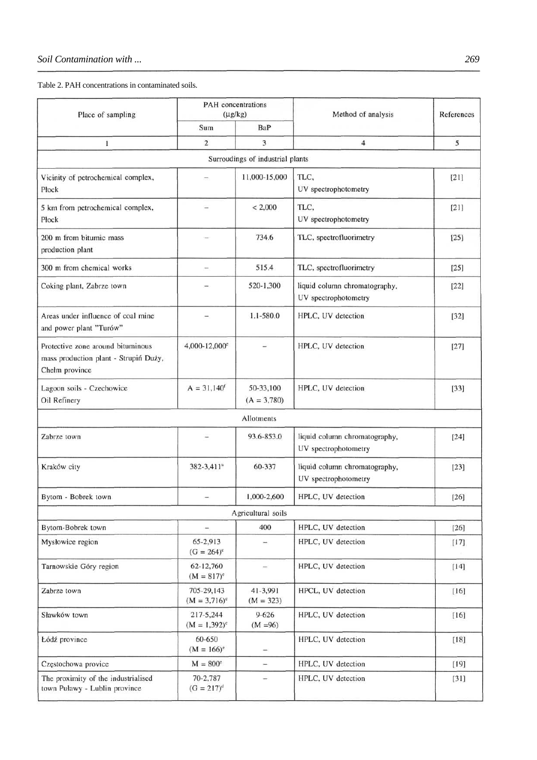Table 2. PAH concentrations in contaminated soils.

| Place of sampling                                                                            | PAH concentrations<br>$(\mu g/kg)$ |                                  | Method of analysis                                    | References |
|----------------------------------------------------------------------------------------------|------------------------------------|----------------------------------|-------------------------------------------------------|------------|
|                                                                                              | Sum                                | BaP                              |                                                       |            |
| 1                                                                                            | $\overline{c}$                     | 3                                | $\overline{4}$                                        | 5          |
|                                                                                              |                                    | Surroudings of industrial plants |                                                       |            |
| Vicinity of petrochemical complex,<br>Płock                                                  |                                    | 11,000-15,000                    | TLC,<br>UV spectrophotometry                          | $[21]$     |
| 5 km from petrochemical complex,<br>Płock                                                    |                                    | < 2,000                          | TLC,<br>UV spectrophotometry                          | $[21]$     |
| 200 m from bitumic mass<br>production plant                                                  |                                    | 734.6                            | TLC, spectrofluorimetry                               | [25]       |
| 300 m from chemical works                                                                    | $\overline{\phantom{0}}$           | 515.4                            | TLC, spectrofluorimetry                               | $[25]$     |
| Coking plant, Zabrze town                                                                    |                                    | 520-1,300                        | liquid column chromatography,<br>UV spectrophotometry | $[22]$     |
| Areas under influence of coal mine<br>and power plant "Turów"                                |                                    | $1.1 - 580.0$                    | HPLC, UV detection                                    | $[32]$     |
| Protective zone around bituminous<br>mass production plant - Strupiń Duży,<br>Chełm province | 4,000-12,000 $^{\circ}$            |                                  | HPLC, UV detection                                    | [27]       |
| Lagoon soils - Czechowice<br>Oil Refinery                                                    | $A = 31,140^{t}$                   | 50-33,100<br>$(A = 3,780)$       | HPLC, UV detection                                    | $[33]$     |
|                                                                                              |                                    | Allotments                       |                                                       |            |
| Zabrze town                                                                                  |                                    | 93.6-853.0                       | liquid column chromatography,<br>UV spectrophotometry | $[24]$     |
| Kraków city                                                                                  | 382-3,411 <sup>a</sup>             | 60-337                           | liquid column chromatography,<br>UV spectrophotometry | [23]       |
| Bytom - Bobrek town                                                                          |                                    | 1,000-2,600                      | HPLC, UV detection                                    | [26]       |
|                                                                                              |                                    | Agricultural soils               |                                                       |            |
| Bytom-Bobrek town                                                                            | $\overline{a}$                     | 400                              | HPLC, UV detection                                    | $[26]$     |
| Mysłowice region                                                                             | 65-2,913<br>$(G = 264)^c$          |                                  | HPLC, UV detection                                    | $[17]$     |
| Tarnowskie Góry region                                                                       | 62-12,760<br>$(M = 817)^c$         | $\overline{\phantom{a}}$         | HPLC, UV detection                                    | [14]       |
| Zabrze town                                                                                  | 705-29,143<br>$(M = 3.716)^c$      | 41-3,991<br>$(M = 323)$          | HPCL, UV detection                                    | [16]       |
| Sławków town                                                                                 | 217-5,244<br>$(M = 1,392)^c$       | $9 - 626$<br>$(M = 96)$          | HPLC, UV detection                                    | $[16]$     |
| Łódź province                                                                                | 60-650<br>$(M = 166)^e$            | $\overline{\phantom{a}}$         | HPLC, UV detection                                    | $[18]$     |
| Częstochowa provice                                                                          | $M = 800^\circ$                    | $\overline{\phantom{a}}$         | HPLC, UV detection                                    | $[19]$     |
| The proximity of the industrialised<br>town Puławy - Lublin province                         | 70-2,787<br>$(G = 217)^d$          | $\overline{\phantom{0}}$         | HPLC, UV detection                                    | $[31]$     |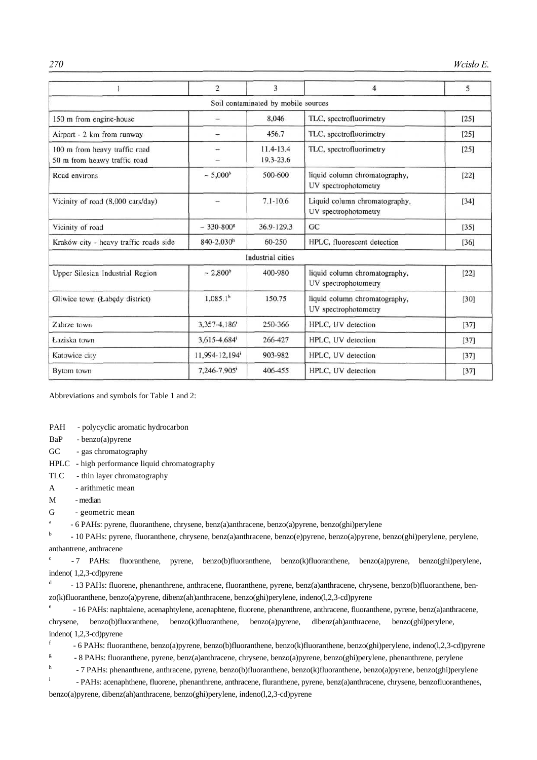|                                                               | $\overline{2}$           | 3                                   | $\overline{4}$                                        | 5      |
|---------------------------------------------------------------|--------------------------|-------------------------------------|-------------------------------------------------------|--------|
|                                                               |                          | Soil contaminated by mobile sources |                                                       |        |
| 150 m from engine-house                                       | -                        | 8.046                               | TLC, spectrofluorimetry                               | [25]   |
| Airport - 2 km from runway                                    | $\overline{\phantom{0}}$ | 456.7                               | TLC, spectrofluorimetry                               | [25]   |
| 100 m from heavy traffic road<br>50 m from heawy traffic road |                          | $11.4 - 13.4$<br>19.3-23.6          | TLC, spectrofluorimetry                               | [25]   |
| Road environs                                                 | $~5,000$ <sup>b</sup>    | 500-600                             | liquid column chromatography,<br>UV spectrophotometry | $[22]$ |
| Vicinity of road (8,000 cars/day)                             |                          | $7.1 - 10.6$                        | Liquid column chromatography,<br>UV spectrophotometry | [34]   |
| Vicinity of road                                              | $~1.330 - 800$ *         | 36.9-129.3                          | GC                                                    | $[35]$ |
| Kraków city - heavy traffic roads side                        | $840 - 2.030h$           | 60-250                              | HPLC, fluorescent detection                           | [36]   |
|                                                               |                          | Industrial cities                   |                                                       |        |
| Upper Silesian Industrial Region                              | $~2.800$ <sup>b</sup>    | 400-980                             | liquid column chromatography,<br>UV spectrophotometry | [22]   |
| Gliwice town (Łabędy district)                                | 1,085.1 <sup>b</sup>     | 150.75                              | liquid column chromatography,<br>UV spectrophotometry | $[30]$ |
| Zabrze town                                                   | 3,357-4,186              | 250-366                             | HPLC, UV detection                                    | [37]   |
| Łaziska town                                                  | 3,615-4,684              | 266-427                             | HPLC, UV detection                                    | $[37]$ |
| Katowice city                                                 | 11,994-12,194            | 903-982                             | HPLC, UV detection                                    | [37]   |
| Bytom town                                                    | 7,246-7,905              | 406-455                             | HPLC, UV detection                                    | $[37]$ |

Abbreviations and symbols for Table 1 and 2:

PAH - polycyclic aromatic hydrocarbon

BaP - benzo(a)pyrene

GC - gas chromatography

HPLC - high performance liquid chromatography

- TLC thin layer chromatography
- A arithmetic mean
- M median

G - geometric mean

a - 6 PAHs: pyrene, fluoranthene, chrysene, benz(a)anthracene, benzo(a)pyrene, benzo(ghi)perylene

<sup>b</sup> - 10 PAHs: pyrene, fluoranthene, chrysene, benz(a)anthracene, benzo(e)pyrene, benzo(a)pyrene, benzo(ghi)perylene, perylene, anthantrene, anthracene

c - 7 PAHs: fluoranthene, pyrene, benzo(b)fluoranthene, benzo(k)fluoranthene, benzo(a)pyrene, benzo(ghi)perylene, indeno( 1,2,3-cd)pyrene

d - 13 PAHs: fluorene, phenanthrene, anthracene, fluoranthene, pyrene, benz(a)anthracene, chrysene, benzo(b)fluoranthene, benzo(k)fluoranthene, benzo(a)pyrene, dibenz(ah)anthracene, benzo(ghi)perylene, indeno(l,2,3-cd)pyrene

e - 16 PAHs: naphtalene, acenaphtylene, acenaphtene, fluorene, phenanthrene, anthracene, fluoranthene, pyrene, benz(a)anthracene, chrysene, benzo(b)fluoranthene, benzo(k)fluoranthene, benzo(a)pyrene, dibenz(ah)anthracene, benzo(ghi)perylene, indeno( 1,2,3-cd)pyrene

f - 6 PAHs: fluoranthene, benzo(a)pyrene, benzo(b)fluoranthene, benzo(k)fluoranthene, benzo(ghi)perylene, indeno(l,2,3-cd)pyrene

g - 8 PAHs: fluoranthene, pyrene, benz(a)anthracene, chrysene, benzo(a)pyrene, benzo(ghi)perylene, phenanthrene, perylene

h - 7 PAHs: phenanthrene, anthracene, pyrene, benzo(b)fluoranthene, benzo(k)fluoranthene, benzo(a)pyrene, benzo(ghi)perylene

i - PAHs: acenaphthene, fluorene, phenanthrene, anthracene, fluranthene, pyrene, benz(a)anthracene, chrysene, benzofluoranthenes, benzo(a)pyrene, dibenz(ah)anthracene, benzo(ghi)perylene, indeno(l,2,3-cd)pyrene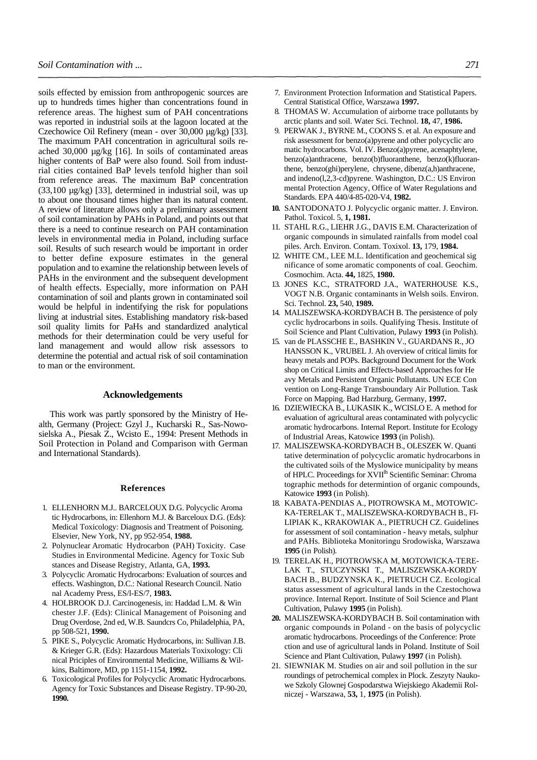soils effected by emission from anthropogenic sources are up to hundreds times higher than concentrations found in reference areas. The highest sum of PAH concentrations was reported in industrial soils at the lagoon located at the Czechowice Oil Refinery (mean - over 30,000 µg/kg) [33]. The maximum PAH concentration in agricultural soils reached 30,000 µg/kg [16]. In soils of contaminated areas higher contents of BaP were also found. Soil from industrial cities contained BaP levels tenfold higher than soil from reference areas. The maximum BaP concentration (33,100 µg/kg) [33], determined in industrial soil, was up to about one thousand times higher than its natural content. A review of literature allows only a preliminary assessment of soil contamination by PAHs in Poland, and points out that there is a need to continue research on PAH contamination levels in environmental media in Poland, including surface soil. Results of such research would be important in order to better define exposure estimates in the general population and to examine the relationship between levels of PAHs in the environment and the subsequent development of health effects. Especially, more information on PAH contamination of soil and plants grown in contaminated soil would be helpful in indentifying the risk for populations living at industrial sites. Establishing mandatory risk-based soil quality limits for PaHs and standardized analytical methods for their determination could be very useful for land management and would allow risk assessors to determine the potential and actual risk of soil contamination to man or the environment.

#### **Acknowledgements**

This work was partly sponsored by the Ministry of Health, Germany (Project: Gzyl J., Kucharski R., Sas-Nowosielska A., Piesak Z., Wcisto E., 1994: Present Methods in Soil Protection in Poland and Comparison with German and International Standards).

#### **References**

- 1. ELLENHORN M.J.. BARCELOUX D.G. Polycyclic Aroma tic Hydrocarbons, in: Ellenhorn M.J. & Barceloux D.G. (Eds): Medical Toxicology: Diagnosis and Treatment of Poisoning. Elsevier, New York, NY, pp 952-954, **1988.**
- 2. Polynuclear Aromatic Hydrocarbon (PAH) Toxicity. Case Studies in Environmental Medicine. Agency for Toxic Sub stances and Disease Registry, Atlanta, GA, **1993.**
- 3. Polycyclic Aromatic Hydrocarbons: Evaluation of sources and effects. Washington, D.C.: National Research Council. Natio nal Academy Press, ES/l-ES/7, **1983.**
- 4. HOLBROOK D.J. Carcinogenesis, in: Haddad L.M. & Win chester J.F. (Eds): Clinical Management of Poisoning and Drug Overdose, 2nd ed, W.B. Saundcrs Co, Philadelphia, PA, pp 508-521, **1990.**
- 5. PIKE S., Polycyclic Aromatic Hydrocarbons, in: Sullivan J.B. & Krieger G.R. (Eds): Hazardous Materials Toxixology: Cli nical Priciples of Environmental Medicine, Williams & Wilkins, Baltimore, MD, pp 1151-1154, **1992.**
- 6. Toxicological Profiles for Polycyclic Aromatic Hydrocarbons. Agency for Toxic Substances and Disease Registry. TP-90-20, **1990.**
- 7. Environment Protection Information and Statistical Papers. Central Statistical Office, Warszawa **1997.**
- 8. THOMAS W. Accumulation of airborne trace pollutants by arctic plants and soil. Water Sci. Technol. **18,** 47, **1986.**
- 9. PERWAK J., BYRNE M., COONS S. et al. An exposure and risk assessment for benzo(a)pyrene and other polycyclic aro matic hydrocarbons. Vol. IV. Benzo(a)pyrene, acenaphtylene, benzo(a)anthracene, benzo(b)fluoranthene, benzo(k)fluoranthene, benzo(ghi)perylene, chrysene, dibenz(a,h)anthracene, and indeno(l,2,3-cd)pyrene. Washington, D.C.: US Environ mental Protection Agency, Office of Water Regulations and Standards. EPA 440/4-85-020-V4, **1982.**
- **10.** SANTODONATO J. Polycyclic organic matter. J. Environ. Pathol. Toxicol. 5, **1, 1981.**
- 11. STAHL R.G., LIEHR J.G., DAVIS E.M. Characterization of organic compounds in simulated rainfalls from model coal piles. Arch. Environ. Contam. Toxixol. **13,** 179, **1984.**
- 12. WHITE CM., LEE M.L. Identification and geochemical sig nificance of some aromatic components of coal. Geochim. Cosmochim. Acta. **44,** 1825, **1980.**
- 13. JONES K.C., STRATFORD J.A., WATERHOUSE K.S., VOGT N.B. Organic contaminants in Welsh soils. Environ. Sci. Technol. **23,** 540, **1989.**
- 14. MALISZEWSKA-KORDYBACH B. The persistence of poly cyclic hydrocarbons in soils. Qualifying Thesis. Institute of Soil Science and Plant Cultivation, Pulawy **1993** (in Polish).
- 15. van de PLASSCHE E., BASHKIN V., GUARDANS R., JO HANSSON K., VRUBEL J. Ah overview of critical limits for heavy metals and POPs. Background Document for the Work shop on Critical Limits and Effects-based Approaches for He avy Metals and Persistent Organic Pollutants. UN ECE Con vention on Long-Range Transboundary Air Pollution. Task Force on Mapping. Bad Harzburg, Germany, **1997.**
- 16. DZIEWIECKA B., LUKASIK K., WCISLO E. A method for evaluation of agricultural areas contaminated with polycyclic aromatic hydrocarbons. Internal Report. Institute for Ecology of Industrial Areas, Katowice **1993** (in Polish).
- 17. MALISZEWSKA-KORDYBACH B., OLESZEK W. Quanti tative determination of polycyclic aromatic hydrocarbons in the cultivated soils of the Myslowice municipality by means of HPLC. Proceedings for XVII<sup>Ih</sup> Scientific Seminar: Chroma tographic methods for determintion of organic compounds, Katowice **1993** (in Polish).
- 18. KABATA-PENDIAS A., PIOTROWSKA M., MOTOWIC-KA-TERELAK T., MALISZEWSKA-KORDYBACH B., FI-LIPIAK K., KRAKOWIAK A., PIETRUCH CZ. Guidelines for assessment of soil contamination - heavy metals, sulphur and PAHs. Biblioteka Monitoringu Srodowiska, Warszawa **1995** (in Polish).
- 19. TERELAK H., PIOTROWSKA M, MOTOWICKA-TERE-LAK T., STUCZYNSKI T., MALISZEWSKA-KORDY BACH B., BUDZYNSKA K., PIETRUCH CZ. Ecological status assessment of agricultural lands in the Czestochowa province. Internal Report. Institute of Soil Science and Plant Cultivation, Pulawy **1995** (in Polish).
- **20.** MALISZEWSKA-KORDYBACH B. Soil contamination with organic compounds in Poland - on the basis of polycyclic aromatic hydrocarbons. Proceedings of the Conference: Prote ction and use of agricultural lands in Poland. Institute of Soil Science and Plant Cultivation, Pulawy **1997** (in Polish).
- 21. SIEWNIAK M. Studies on air and soil pollution in the sur roundings of petrochemical complex in Plock. Zeszyty Naukowe Szkoly Glownej Gospodarstwa Wiejskiego Akademii Rolniczej - Warszawa, **53,** 1, **1975** (in Polish).